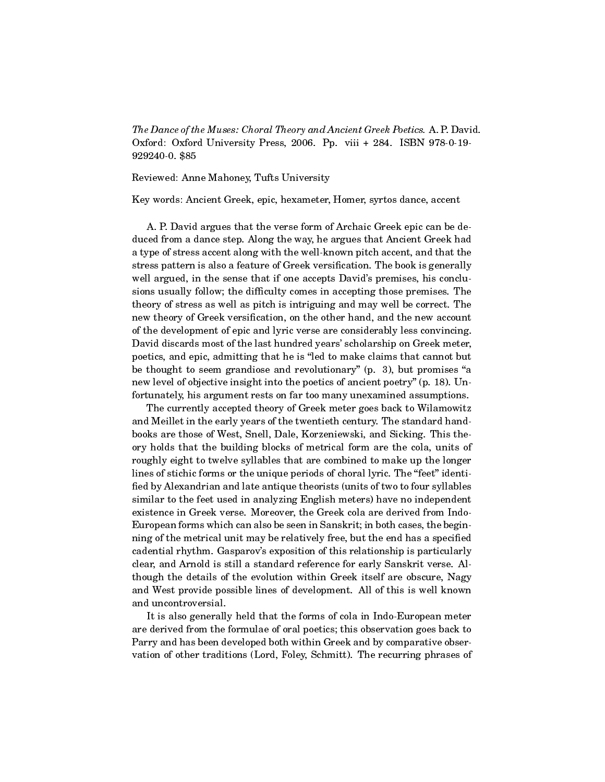The Dance of the Muses: Choral Theory and Ancient Greek Poetics. A. P. David. Oxford: Oxford University Press, 2006. Pp. viii + 284. ISBN 978-0-19- 929240-0. \$85

Reviewed: Anne Mahoney, Tufts University

Key words: Ancient Greek, epic, hexameter, Homer, syrtos dance, accent

A. P. David argues that the verse form of Archaic Greek epic can be deduced from a dance step. Along the way, he argues that Ancient Greek had a type of stress accent along with the well-known pitch accent, and that the stress pattern is also a feature of Greek versification. The book is generally well argued, in the sense that if one accepts David's premises, his conclusions usually follow; the difficulty comes in accepting those premises. The theory of stress as well as pitch is intriguing and may well be correct. The new theory of Greek versification, on the other hand, and the new account of the development of epic and lyric verse are considerably less convincing. David discards most of the last hundred years' scholarship on Greek meter, poetics, and epic, admitting that he is "led to make claims that cannot but be thought to seem grandiose and revolutionary"  $(p, 3)$ , but promises "a new level of objective insight into the poetics of ancient poetry" (p. 18). Unfortunately, his argument rests on far too many unexamined assumptions.

The currently accepted theory of Greek meter goes back to Wilamowitz and Meillet in the early years of the twentieth century. The standard handbooks are those of West, Snell, Dale, Korzeniewski, and Sicking. This theory holds that the building blocks of metrical form are the cola, units of roughly eight to twelve syllables that are combined to make up the longer lines of stichic forms or the unique periods of choral lyric. The "feet" identified by Alexandrian and late antique theorists (units of two to four syllables similar to the feet used in analyzing English meters) have no independent existence in Greek verse. Moreover, the Greek cola are derived from Indo-European forms which can also be seen in Sanskrit; in both cases, the beginning of the metrical unit may be relatively free, but the end has a specified cadential rhythm. Gasparov's exposition of this relationship is particularly clear, and Arnold is still a standard reference for early Sanskrit verse. Although the details of the evolution within Greek itself are obscure, Nagy and West provide possible lines of development. All of this is well known and uncontroversial.

It is also generally held that the forms of cola in Indo-European meter are derived from the formulae of oral poetics; this observation goes back to Parry and has been developed both within Greek and by comparative observation of other traditions (Lord, Foley, Schmitt). The recurring phrases of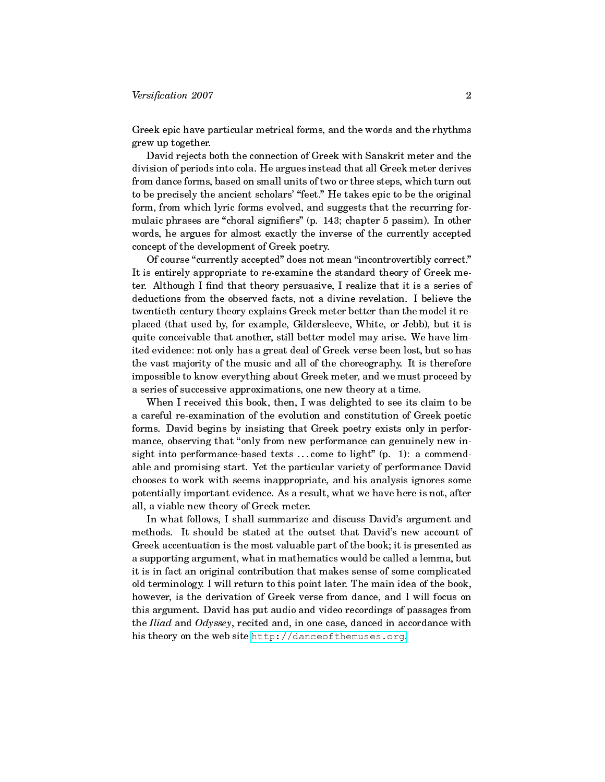## $Versification 2007$  2007

Greek epic have particular metrical forms, and the words and the rhythms grew up together.

David rejects both the connection of Greek with Sanskrit meter and the division of periods into cola. He argues instead that all Greek meter derives from dance forms, based on small units of two or three steps, which turn out to be precisely the ancient scholars' "feet." He takes epic to be the original form, from which lyric forms evolved, and suggests that the recurring formulaic phrases are "choral signifiers" (p. 143; chapter 5 passim). In other words, he argues for almost exactly the inverse of the currently accepted concept of the development of Greek poetry.

Of course "currently accepted" does not mean "incontrovertibly correct." It is entirely appropriate to re-examine the standard theory of Greek meter. Although I find that theory persuasive, I realize that it is a series of deductions from the observed facts, not a divine revelation. I believe the twentieth-century theory explains Greek meter better than the model it replaced (that used by, for example, Gildersleeve, White, or Jebb), but it is quite conceivable that another, still better model may arise. We have limited evidence: not only has a great deal of Greek verse been lost, but so has the vast majority of the music and all of the choreography. It is therefore impossible to know everything about Greek meter, and we must proceed by a series of successive approximations, one new theory at a time.

When I received this book, then, I was delighted to see its claim to be a careful re-examination of the evolution and constitution of Greek poetic forms. David begins by insisting that Greek poetry exists only in performance, observing that "only from new performance can genuinely new insight into performance-based texts  $\dots$  come to light" (p. 1): a commendable and promising start. Yet the particular variety of performance David chooses to work with seems inappropriate, and his analysis ignores some potentially important evidence. As a result, what we have here is not, after all, a viable new theory of Greek meter.

In what follows, I shall summarize and discuss David's argument and methods. It should be stated at the outset that David's new account of Greek accentuation is the most valuable part of the book; it is presented as a supporting argument, what in mathematics would be called a lemma, but it is in fact an original contribution that makes sense of some complicated old terminology. I will return to this point later. The main idea of the book, however, is the derivation of Greek verse from dance, and I will focus on this argument. David has put audio and video recordings of passages from the *Iliad* and Odyssey, recited and, in one case, danced in accordance with his theory on the web site [http://danceofthemuses.org.](http://danceofthemuses.org)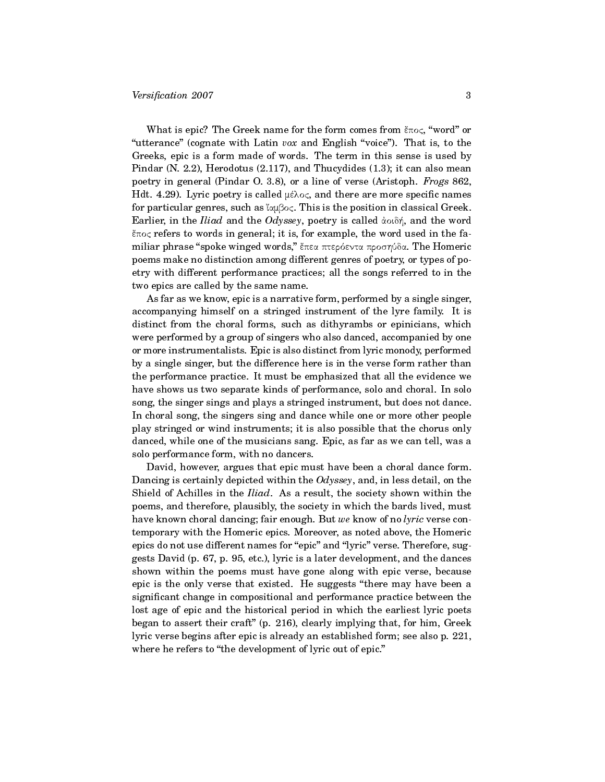What is epic? The Greek name for the form comes from  $\epsilon \pi o \varsigma$ , "word" or "utterance" (cognate with Latin vox and English "voice"). That is, to the Greeks, epic is a form made of words. The term in this sense is used by Pindar (N. 2.2), Herodotus (2.117), and Thucydides (1.3); it can also mean poetry in general (Pindar O. 3.8), or a line of verse (Aristoph. Frogs 862, Hdt. 4.29). Lyric poetry is called  $\mu \epsilon \lambda o \varsigma$ , and there are more specific names for particular genres, such as  $\alpha\beta o\varsigma$ . This is the position in classical Greek. Earlier, in the *Iliad* and the Odyssey, poetry is called  $\alpha$  on  $\delta \eta$ , and the word  $\epsilon \pi$ oc refers to words in general; it is, for example, the word used in the familiar phrase "spoke winged words," έπεα πτερόεντα προσηύδα. The Homeric poems make no distinction among different genres of poetry, or types of poetry with different performance practices; all the songs referred to in the two epics are called by the same name.

As far as we know, epic is a narrative form, performed by a single singer, accompanying himself on a stringed instrument of the lyre family. It is distinct from the choral forms, such as dithyrambs or epinicians, which were performed by a group of singers who also danced, accompanied by one or more instrumentalists. Epic is also distinct from lyric monody, performed by a single singer, but the difference here is in the verse form rather than the performance practice. It must be emphasized that all the evidence we have shows us two separate kinds of performance, solo and choral. In solo song, the singer sings and plays a stringed instrument, but does not dance. In choral song, the singers sing and dance while one or more other people play stringed or wind instruments; it is also possible that the chorus only danced, while one of the musicians sang. Epic, as far as we can tell, was a solo performance form, with no dancers.

David, however, argues that epic must have been a choral dance form. Dancing is certainly depicted within the  $Odyssey$ , and, in less detail, on the Shield of Achilles in the Iliad. As a result, the society shown within the poems, and therefore, plausibly, the society in which the bards lived, must have known choral dancing; fair enough. But we know of no lyric verse contemporary with the Homeric epics. Moreover, as noted above, the Homeric epics do not use different names for "epic" and "lyric" verse. Therefore, suggests David (p. 67, p. 95, etc.), lyric is a later development, and the dances shown within the poems must have gone along with epic verse, because epic is the only verse that existed. He suggests "there may have been a significant change in compositional and performance practice between the lost age of epic and the historical period in which the earliest lyric poets began to assert their craft" (p. 216), clearly implying that, for him, Greek lyric verse begins after epic is already an established form; see also p. 221, where he refers to "the development of lyric out of epic."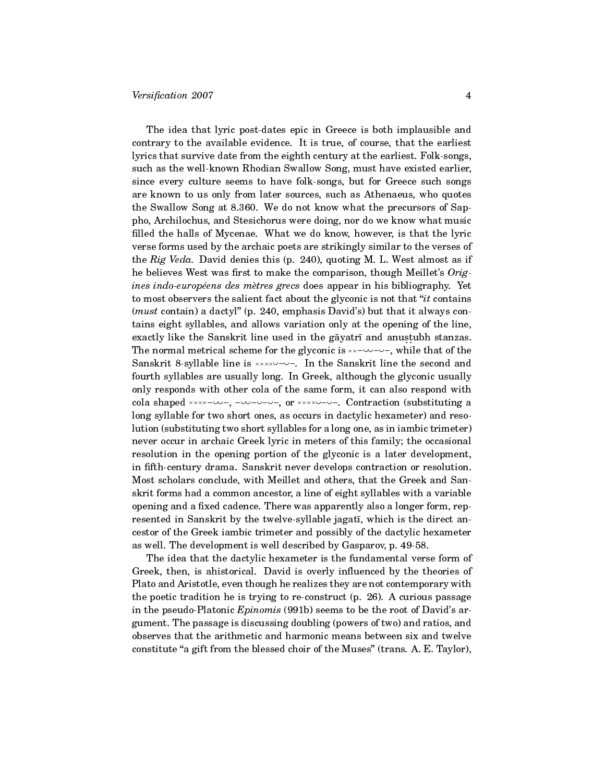The idea that lyric post-dates epic in Greece is both implausible and contrary to the available evidence. It is true, of course, that the earliest lyrics that survive date from the eighth century at the earliest. Folk-songs, such as the well-known Rhodian Swallow Song, must have existed earlier, since every culture seems to have folk-songs, but for Greece such songs are known to us only from later sources, such as Athenaeus, who quotes the Swallow Song at 8.360. We do not know what the precursors of Sappho, Archilochus, and Stesichorus were doing, nor do we know what music filled the halls of Mycenae. What we do know, however, is that the lyric verse forms used by the archaic poets are strikingly similar to the verses of the Rig Veda. David denies this (p. 240), quoting M. L. West almost as if he believes West was first to make the comparison, though Meillet's  $Orig$ ines indo-européens des mètres grecs does appear in his bibliography. Yet to most observers the salient fact about the glyconic is not that "*it* contains (*must* contain) a dactyl" (p. 240, emphasis David's) but that it always contains eight syllables, and allows variation only at the opening of the line, exactly like the Sanskrit line used in the gāyatrī and anustubh stanzas. The normal metrical scheme for the glyconic is - - , while that of the Sanskrit 8-syllable line is xxxxv-v-, In the Sanskrit line the second and fourth syllables are usually long. In Greek, although the glyconic usually only responds with other cola of the same form, it can also respond with cola shaped xxxx-vv-, -vv-v-v-, or xxxxv-v-v-. Contraction (substituting a long syllable for two short ones, as occurs in dactylic hexameter) and resolution (substituting two short syllables for a long one, as in iambic trimeter) never occur in archaic Greek lyric in meters of this family; the occasional resolution in the opening portion of the glyconic is a later development, in fifth-century drama. Sanskrit never develops contraction or resolution. Most scholars conclude, with Meillet and others, that the Greek and Sanskrit forms had a common ancestor, a line of eight syllables with a variable opening and a fixed cadence. There was apparently also a longer form, represented in Sanskrit by the twelve-syllable jagati, which is the direct ancestor of the Greek iambic trimeter and possibly of the dactylic hexameter as well. The development is well described by Gasparov, p. 49-58.

The idea that the dactylic hexameter is the fundamental verse form of Greek, then, is ahistorical. David is overly influenced by the theories of Plato and Aristotle, even though he realizes they are not contemporary with the poetic tradition he is trying to re-construct (p. 26). A curious passage in the pseudo-Platonic Epinomis (991b) seems to be the root of David's argument. The passage is discussing doubling (powers of two) and ratios, and observes that the arithmetic and harmonic means between six and twelve constitute "a gift from the blessed choir of the Muses" (trans. A. E. Taylor),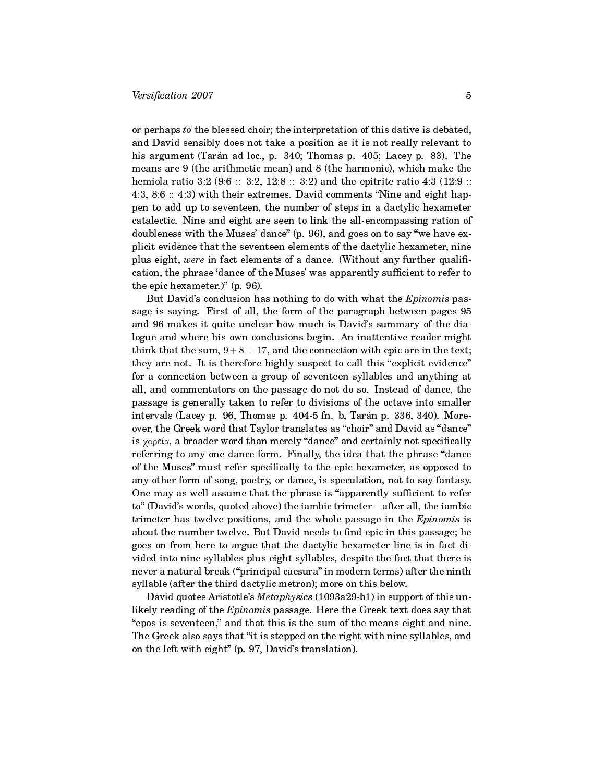or perhaps to the blessed choir; the interpretation of this dative is debated, and David sensibly does not take a position as it is not really relevant to his argument (Tarán ad loc., p.  $340$ ; Thomas p.  $405$ ; Lacey p.  $83$ ). The means are 9 (the arithmetic mean) and 8 (the harmonic), which make the hemiola ratio 3:2 (9:6 :: 3:2, 12:8 :: 3:2) and the epitrite ratio 4:3 (12:9 :: 4:3, 8:6  $\therefore$  4:3) with their extremes. David comments "Nine and eight happen to add up to seventeen, the number of steps in a dactylic hexameter catalectic. Nine and eight are seen to link the all-encompassing ration of doubleness with the Muses' dance"  $(p. 96)$ , and goes on to say "we have explicit evidence that the seventeen elements of the dactylic hexameter, nine plus eight, were in fact elements of a dance. (Without any further qualification, the phrase 'dance of the Muses' was apparently sufficient to refer to the epic hexameter.)" (p. 96).

But David's conclusion has nothing to do with what the Epinomis passage is saying. First of all, the form of the paragraph between pages 95 and 96 makes it quite unclear how much is David's summary of the dialogue and where his own conclusions begin. An inattentive reader might think that the sum,  $9 + 8 = 17$ , and the connection with epic are in the text; they are not. It is therefore highly suspect to call this "explicit evidence" for a connection between a group of seventeen syllables and anything at all, and commentators on the passage do not do so. Instead of dance, the passage is generally taken to refer to divisions of the octave into smaller intervals (Lacey p.  $96$ , Thomas p.  $404-5$  fn. b, Tarán p.  $336, 340$ ). Moreover, the Greek word that Taylor translates as "choir" and David as "dance" is χορεία, a broader word than merely "dance" and certainly not specifically referring to any one dance form. Finally, the idea that the phrase "dance of the Muses" must refer specifically to the epic hexameter, as opposed to any other form of song, poetry, or dance, is speculation, not to say fantasy. One may as well assume that the phrase is "apparently sufficient to refer to" (David's words, quoted above) the iambic trimeter – after all, the iambic trimeter has twelve positions, and the whole passage in the *Epinomis* is about the number twelve. But David needs to find epic in this passage; he goes on from here to argue that the dactylic hexameter line is in fact divided into nine syllables plus eight syllables, despite the fact that there is never a natural break ("principal caesura" in modern terms) after the ninth syllable (after the third dactylic metron); more on this below.

David quotes Aristotle's Metaphysics (1093a29-b1) in support of this unlikely reading of the Epinomis passage. Here the Greek text does say that "epos is seventeen," and that this is the sum of the means eight and nine. The Greek also says that "it is stepped on the right with nine syllables, and on the left with eight"  $(p. 97, David's translation)$ .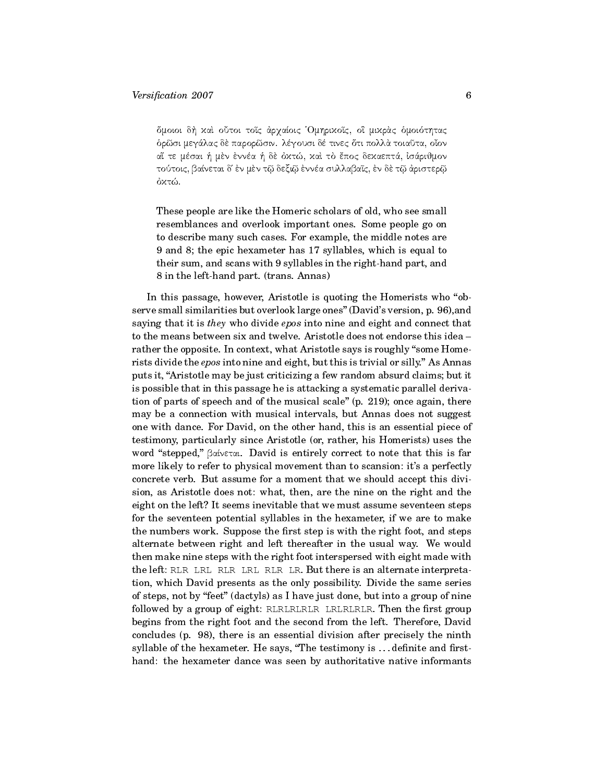őμοιοι δή χαι οὖτοι τοῖς ἀρχαίοις Όμηριχοῖς, οἳ μιχρὰς ὁμοιότητας δρῶσι μεγάλας δὲ παρορῶσιν. λέγουσι δέ τινες ὅτι πολλὰ τοιαῦτα, οἶον aἴ τε μέσαι ή μὲν ἐννέα ή δὲ ὀχτώ, χαὶ τὸ ἔπος δεχαεπτά, ἰσάριθμον τούτοις, βαίνεται δ' ἐν μὲν τῷ δεξιῷ ἐννέα συλλαβαῖς, ἐν δὲ τῷ ἀριστερῷ όκτώ.

These people are like the Homeric scholars of old, who see small resemblances and overlook important ones. Some people go on to describe many such cases. For example, the middle notes are 9 and 8; the epic hexameter has 17 syllables, which is equal to their sum, and scans with 9 syllables in the right-hand part, and 8 in the left-hand part. (trans. Annas)

In this passage, however, Aristotle is quoting the Homerists who "observe small similarities but overlook large ones" (David's version, p. 96), and saying that it is they who divide epos into nine and eight and connect that to the means between six and twelve. Aristotle does not endorse this idea rather the opposite. In context, what Aristotle says is roughly "some Homerists divide the *epos* into nine and eight, but this is trivial or silly." As Annas puts it, Aristotle may be just criticizing a few random absurd claims; but it is possible that in this passage he is attacking a systematic parallel derivation of parts of speech and of the musical scale" (p. 219); once again, there may be a connection with musical intervals, but Annas does not suggest one with dance. For David, on the other hand, this is an essential piece of testimony, particularly since Aristotle (or, rather, his Homerists) uses the word "stepped,"  $\beta \alpha \nu \in \alpha$ . David is entirely correct to note that this is far more likely to refer to physical movement than to scansion: it's a perfectly concrete verb. But assume for a moment that we should accept this division, as Aristotle does not: what, then, are the nine on the right and the eight on the left? It seems inevitable that we must assume seventeen steps for the seventeen potential syllables in the hexameter, if we are to make the numbers work. Suppose the first step is with the right foot, and steps alternate between right and left thereafter in the usual way. We would then make nine steps with the right foot interspersed with eight made with the left: RLR LRL RLR LRL RLR LR. But there is an alternate interpretation, which David presents as the only possibility. Divide the same series of steps, not by "feet" (dactyls) as I have just done, but into a group of nine followed by a group of eight: RLRLRLRLR LRLRLRLR. Then the first group begins from the right foot and the second from the left. Therefore, David concludes (p. 98), there is an essential division after precisely the ninth syllable of the hexameter. He says, "The testimony is ...definite and firsthand: the hexameter dance was seen by authoritative native informants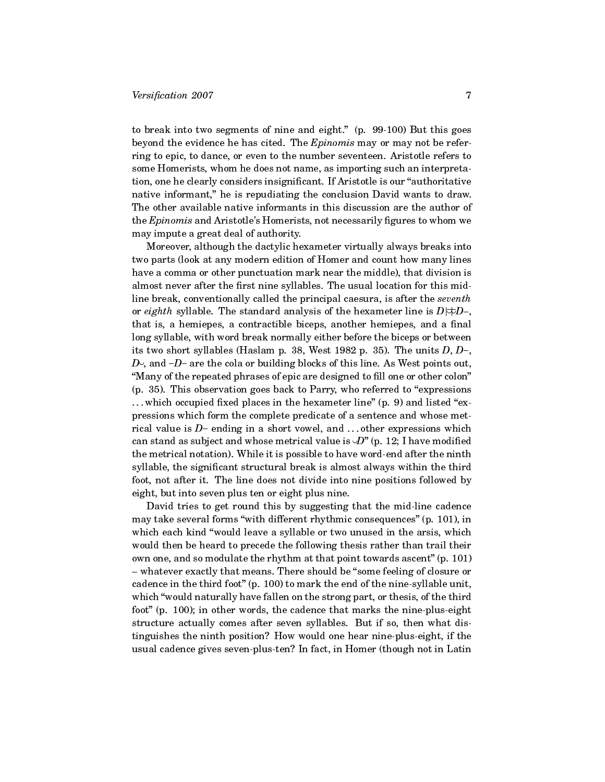to break into two segments of nine and eight." (p. 99-100) But this goes beyond the evidence he has cited. The Epinomis may or may not be referring to epic, to dance, or even to the number seventeen. Aristotle refers to some Homerists, whom he does not name, as importing such an interpretation, one he clearly considers insignificant. If Aristotle is our "authoritative native informant," he is repudiating the conclusion David wants to draw. The other available native informants in this discussion are the author of the  $Epinomis$  and Aristotle's Homerists, not necessarily figures to whom we may impute a great deal of authority.

Moreover, although the dactylic hexameter virtually always breaks into two parts (look at any modern edition of Homer and count how many lines have a comma or other punctuation mark near the middle), that division is almost never after the first nine syllables. The usual location for this midline break, conventionally called the principal caesura, is after the seventh or eighth syllable. The standard analysis of the hexameter line is  $D|\neq D-$ , that is, a hemiepes, a contractible biceps, another hemiepes, and a final long syllable, with word break normally either before the biceps or between its two short syllables (Haslam p. 38, West 1982 p. 35). The units  $D, D-,$  $D<sub>1</sub>$ , and  $-D-$  are the cola or building blocks of this line. As West points out, "Many of the repeated phrases of epic are designed to fill one or other colon"  $(p. 35)$ . This observation goes back to Parry, who referred to "expressions" ... which occupied fixed places in the hexameter line" (p. 9) and listed "expressions which form the complete predicate of a sentence and whose metrical value is  $D-$  ending in a short vowel, and  $\ldots$  other expressions which can stand as subject and whose metrical value is  $\circ\! D^{\ast}$  (p. 12; I have modified the metrical notation). While it is possible to have word-end after the ninth syllable, the significant structural break is almost always within the third foot, not after it. The line does not divide into nine positions followed by eight, but into seven plus ten or eight plus nine.

David tries to get round this by suggesting that the mid-line cadence may take several forms "with different rhythmic consequences" (p. 101), in which each kind "would leave a syllable or two unused in the arsis, which would then be heard to precede the following thesis rather than trail their own one, and so modulate the rhythm at that point towards ascent"  $(p. 101)$ - whatever exactly that means. There should be "some feeling of closure or cadence in the third foot"  $(p. 100)$  to mark the end of the nine-syllable unit, which "would naturally have fallen on the strong part, or thesis, of the third foot" (p. 100); in other words, the cadence that marks the nine-plus-eight structure actually comes after seven syllables. But if so, then what distinguishes the ninth position? How would one hear nine-plus-eight, if the usual cadence gives seven-plus-ten? In fact, in Homer (though not in Latin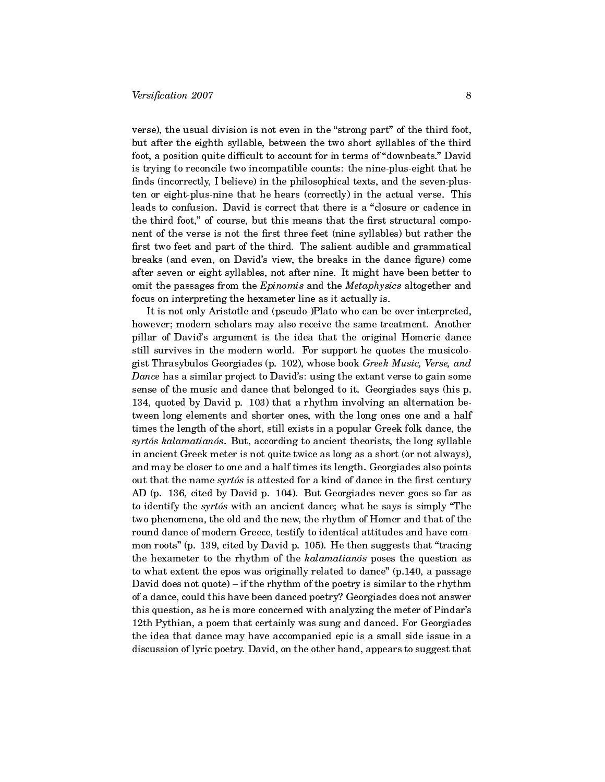verse), the usual division is not even in the "strong part" of the third foot, but after the eighth syllable, between the two short syllables of the third foot, a position quite difficult to account for in terms of "downbeats." David is trying to reconcile two incompatible counts: the nine-plus-eight that he finds (incorrectly, I believe) in the philosophical texts, and the seven-plusten or eight-plus-nine that he hears (correctly) in the actual verse. This leads to confusion. David is correct that there is a "closure or cadence in the third foot," of course, but this means that the first structural component of the verse is not the first three feet (nine syllables) but rather the first two feet and part of the third. The salient audible and grammatical breaks (and even, on David's view, the breaks in the dance figure) come after seven or eight syllables, not after nine. It might have been better to omit the passages from the Epinomis and the Metaphysics altogether and focus on interpreting the hexameter line as it actually is.

It is not only Aristotle and (pseudo-)Plato who can be over-interpreted, however; modern scholars may also receive the same treatment. Another pillar of David's argument is the idea that the original Homeric dance still survives in the modern world. For support he quotes the musicologist Thrasybulos Georgiades (p. 102), whose book Greek Music, Verse, and Dance has a similar project to David's: using the extant verse to gain some sense of the music and dance that belonged to it. Georgiades says (his p. 134, quoted by David p. 103) that a rhythm involving an alternation between long elements and shorter ones, with the long ones one and a half times the length of the short, still exists in a popular Greek folk dance, the syrtós kalamatianós. But, according to ancient theorists, the long syllable in ancient Greek meter is not quite twice as long as a short (or not always), and may be closer to one and a half times its length. Georgiades also points out that the name syrtós is attested for a kind of dance in the first century AD (p. 136, cited by David p. 104). But Georgiades never goes so far as to identify the *syrtos* with an ancient dance; what he says is simply "The two phenomena, the old and the new, the rhythm of Homer and that of the round dance of modern Greece, testify to identical attitudes and have common roots" (p. 139, cited by David p. 105). He then suggests that "tracing the hexameter to the rhythm of the kalamatian os poses the question as to what extent the epos was originally related to dance"  $(p.140, a$  passage David does not quote)  $-$  if the rhythm of the poetry is similar to the rhythm of a dance, could this have been danced poetry? Georgiades does not answer this question, as he is more concerned with analyzing the meter of Pindar's 12th Pythian, a poem that certainly was sung and danced. For Georgiades the idea that dance may have accompanied epic is a small side issue in a discussion of lyric poetry. David, on the other hand, appears to suggest that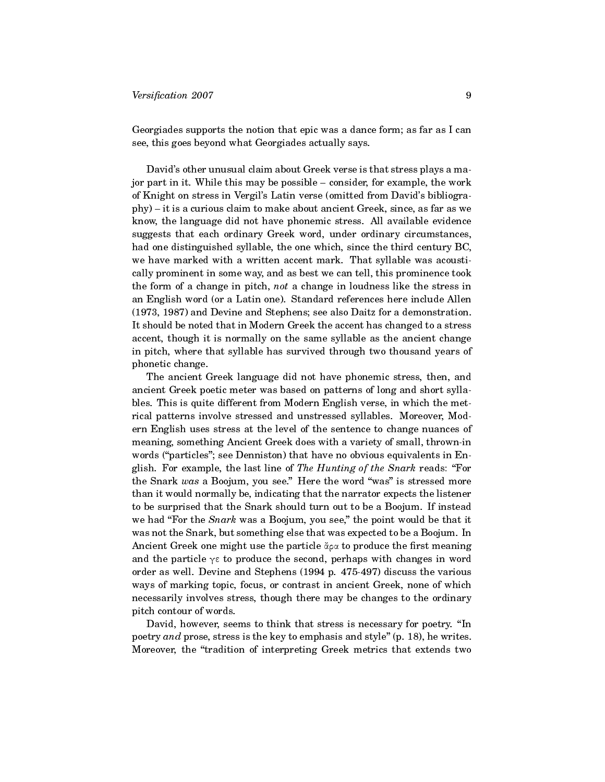## $Versification 2007$  9

Georgiades supports the notion that epic was a dance form; as far as I can see, this goes beyond what Georgiades actually says.

David's other unusual claim about Greek verse is that stress plays a major part in it. While this may be possible – consider, for example, the work of Knight on stress in Vergil's Latin verse (omitted from David's bibliogra $phy) - it$  is a curious claim to make about ancient Greek, since, as far as we know, the language did not have phonemic stress. All available evidence suggests that each ordinary Greek word, under ordinary circumstances, had one distinguished syllable, the one which, since the third century BC, we have marked with a written accent mark. That syllable was acoustically prominent in some way, and as best we can tell, this prominence took the form of a change in pitch, not a change in loudness like the stress in an English word (or a Latin one). Standard references here include Allen (1973, 1987) and Devine and Stephens; see also Daitz for a demonstration. It should be noted that in Modern Greek the accent has changed to a stress accent, though it is normally on the same syllable as the ancient change in pitch, where that syllable has survived through two thousand years of phonetic change.

The ancient Greek language did not have phonemic stress, then, and ancient Greek poetic meter was based on patterns of long and short syllables. This is quite different from Modern English verse, in which the metrical patterns involve stressed and unstressed syllables. Moreover, Modern English uses stress at the level of the sentence to change nuances of meaning, something Ancient Greek does with a variety of small, thrown-in words ("particles"; see Denniston) that have no obvious equivalents in English. For example, the last line of The Hunting of the Snark reads: "For the Snark was a Boojum, you see." Here the word "was" is stressed more than it would normally be, indicating that the narrator expects the listener to be surprised that the Snark should turn out to be a Boojum. If instead we had "For the Snark was a Boojum, you see," the point would be that it was not the Snark, but something else that was expected to be a Boojum. In Ancient Greek one might use the particle ἄρα to produce the first meaning and the particle  $\gamma \varepsilon$  to produce the second, perhaps with changes in word order as well. Devine and Stephens (1994 p. 475-497) discuss the various ways of marking topic, focus, or contrast in ancient Greek, none of which necessarily involves stress, though there may be changes to the ordinary pitch contour of words.

David, however, seems to think that stress is necessary for poetry. "In poetry and prose, stress is the key to emphasis and style"  $(p. 18)$ , he writes. Moreover, the "tradition of interpreting Greek metrics that extends two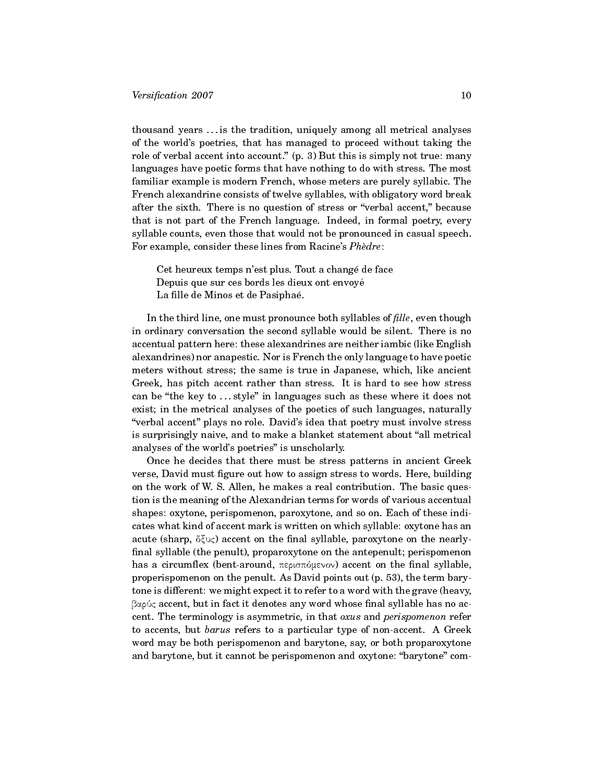thousand years . . . is the tradition, uniquely among all metrical analyses of the world's poetries, that has managed to proceed without taking the role of verbal accent into account."  $(p, 3)$  But this is simply not true: many languages have poetic forms that have nothing to do with stress. The most familiar example is modern French, whose meters are purely syllabic. The French alexandrine consists of twelve syllables, with obligatory word break after the sixth. There is no question of stress or "verbal accent," because that is not part of the French language. Indeed, in formal poetry, every syllable counts, even those that would not be pronounced in casual speech. For example, consider these lines from Racine's Phèdre:

Cet heureux temps n'est plus. Tout a changé de face Depuis que sur ces bords les dieux ont envoye´ La fille de Minos et de Pasiphaé.

In the third line, one must pronounce both syllables of  $\emph{file}$ , even though in ordinary conversation the second syllable would be silent. There is no accentual pattern here: these alexandrines are neither iambic (like English alexandrines) nor anapestic. Nor is French the only language to have poetic meters without stress; the same is true in Japanese, which, like ancient Greek, has pitch accent rather than stress. It is hard to see how stress can be "the key to ...style" in languages such as these where it does not exist; in the metrical analyses of the poetics of such languages, naturally "verbal accent" plays no role. David's idea that poetry must involve stress is surprisingly naive, and to make a blanket statement about "all metrical analyses of the world's poetries" is unscholarly.

Once he decides that there must be stress patterns in ancient Greek verse, David must figure out how to assign stress to words. Here, building on the work of W. S. Allen, he makes a real contribution. The basic question is the meaning of the Alexandrian terms for words of various accentual shapes: oxytone, perispomenon, paroxytone, and so on. Each of these indicates what kind of accent mark is written on which syllable: oxytone has an acute (sharp,  $\delta \xi \cup \zeta$ ) accent on the final syllable, paroxytone on the nearly--nal syllable (the penult), proparoxytone on the antepenult; perispomenon has a circumflex (bent-around,  $\pi$ ερισπόμενον) accent on the final syllable, properispomenon on the penult. As David points out (p. 53), the term barytone is different: we might expect it to refer to a word with the grave (heavy, βαρύς accent, but in fact it denotes any word whose final syllable has no accent. The terminology is asymmetric, in that oxus and perispomenon refer to accents, but barus refers to a particular type of non-accent. A Greek word may be both perispomenon and barytone, say, or both proparoxytone and barytone, but it cannot be perispomenon and oxytone: "barytone" com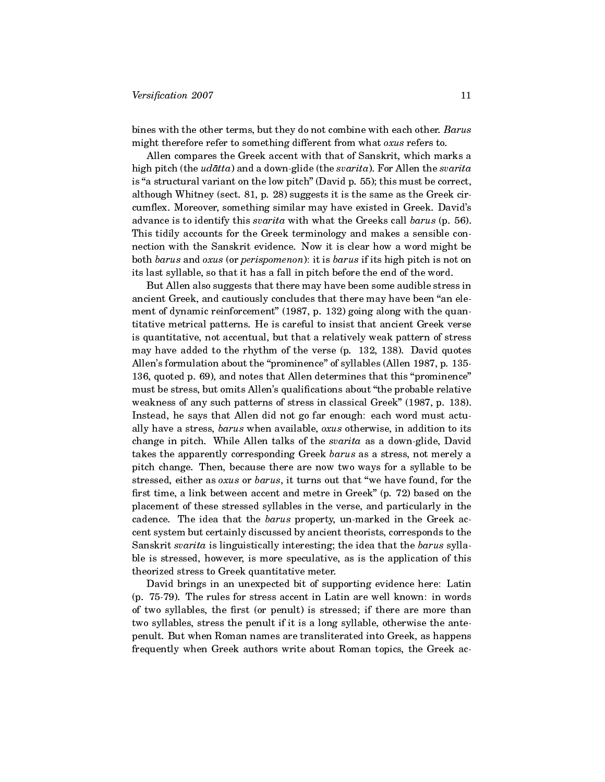bines with the other terms, but they do not combine with each other. Barus might therefore refer to something different from what oxus refers to.

Allen compares the Greek accent with that of Sanskrit, which marks a high pitch (the  $udātta$ ) and a down-glide (the svarita). For Allen the svarita is "a structural variant on the low pitch" (David p.  $55$ ); this must be correct, although Whitney (sect. 81, p. 28) suggests it is the same as the Greek circumflex. Moreover, something similar may have existed in Greek. David's advance is to identify this svarita with what the Greeks call barus (p. 56). This tidily accounts for the Greek terminology and makes a sensible connection with the Sanskrit evidence. Now it is clear how a word might be both barus and oxus (or perispomenon): it is barus if its high pitch is not on its last syllable, so that it has a fall in pitch before the end of the word.

But Allen also suggests that there may have been some audible stress in ancient Greek, and cautiously concludes that there may have been "an element of dynamic reinforcement" (1987, p. 132) going along with the quantitative metrical patterns. He is careful to insist that ancient Greek verse is quantitative, not accentual, but that a relatively weak pattern of stress may have added to the rhythm of the verse (p. 132, 138). David quotes Allen's formulation about the "prominence" of syllables (Allen 1987, p. 135-136, quoted p.  $69$ ), and notes that Allen determines that this "prominence" must be stress, but omits Allen's qualifications about "the probable relative weakness of any such patterns of stress in classical Greek" (1987, p. 138). Instead, he says that Allen did not go far enough: each word must actually have a stress, barus when available, oxus otherwise, in addition to its change in pitch. While Allen talks of the svarita as a down-glide, David takes the apparently corresponding Greek barus as a stress, not merely a pitch change. Then, because there are now two ways for a syllable to be stressed, either as oxus or barus, it turns out that "we have found, for the first time, a link between accent and metre in Greek" (p. 72) based on the placement of these stressed syllables in the verse, and particularly in the cadence. The idea that the barus property, un-marked in the Greek accent system but certainly discussed by ancient theorists, corresponds to the Sanskrit svarita is linguistically interesting; the idea that the barus syllable is stressed, however, is more speculative, as is the application of this theorized stress to Greek quantitative meter.

David brings in an unexpected bit of supporting evidence here: Latin (p. 75-79). The rules for stress accent in Latin are well known: in words of two syllables, the first (or penult) is stressed; if there are more than two syllables, stress the penult if it is a long syllable, otherwise the antepenult. But when Roman names are transliterated into Greek, as happens frequently when Greek authors write about Roman topics, the Greek ac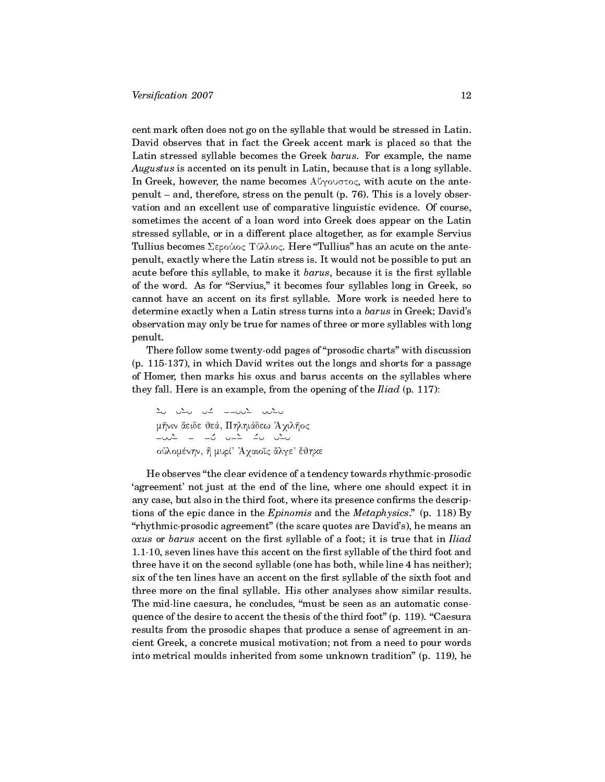cent mark often does not go on the syllable that would be stressed in Latin. David observes that in fact the Greek accent mark is placed so that the Latin stressed syllable becomes the Greek barus. For example, the name Augustus is accented on its penult in Latin, because that is a long syllable. In Greek, however, the name becomes  $\Lambda$  *byourtoc*, with acute on the antepenult  $-$  and, therefore, stress on the penult (p. 76). This is a lovely observation and an excellent use of comparative linguistic evidence. Of course, sometimes the accent of a loan word into Greek does appear on the Latin stressed syllable, or in a different place altogether, as for example Servius Tullius becomes  $\Sigma$ ερούιος Τύλλιος. Here "Tullius" has an acute on the antepenult, exactly where the Latin stress is. It would not be possible to put an acute before this syllable, to make it *barus*, because it is the first syllable of the word. As for "Servius," it becomes four syllables long in Greek, so cannot have an accent on its first syllable. More work is needed here to determine exactly when a Latin stress turns into a barus in Greek; David's observation may only be true for names of three or more syllables with long penult.

There follow some twenty-odd pages of "prosodic charts" with discussion (p. 115-137), in which David writes out the longs and shorts for a passage of Homer, then marks his oxus and barus accents on the syllables where they fall. Here is an example, from the opening of the  $Iliad$  (p. 117):

 $\begin{array}{cccccccccccccc} \Delta\cup & \cup\Delta\cup & \cup\Delta' & \bot & \bot & \cup\cup\Delta' & \cup\cup\Delta\cup \end{array}$ μῆνιν ἄειδε θεά, Πηληιάδεω Ἀχιλῆος  $\begin{array}{ccccccccc} \bot\cup\cup\bot & = & \bot\cup & \cup & \bot \bot & \bot\cup & \cup\bot\cup \end{array}$ oύλομένην, ή μυρί' Άχαιοῖς ἄλγε' ἔθηκε

He observes the clear evidence of a tendency towards rhythmic-prosodic `agreement' not just at the end of the line, where one should expect it in any case, but also in the third foot, where its presence confirms the descriptions of the epic dance in the  $Epinomis$  and the  $Metaphysics$ ." (p. 118) By "rhythmic-prosodic agreement" (the scare quotes are David's), he means an  $oxus$  or  $barus$  accent on the first syllable of a foot; it is true that in  $Iliad$ 1.1-10, seven lines have this accent on the first syllable of the third foot and three have it on the second syllable (one has both, while line 4 has neither); six of the ten lines have an accent on the first syllable of the sixth foot and three more on the final syllable. His other analyses show similar results. The mid-line caesura, he concludes, "must be seen as an automatic consequence of the desire to accent the thesis of the third foot" (p. 119). "Caesura results from the prosodic shapes that produce a sense of agreement in ancient Greek, a concrete musical motivation; not from a need to pour words into metrical moulds inherited from some unknown tradition" (p. 119), he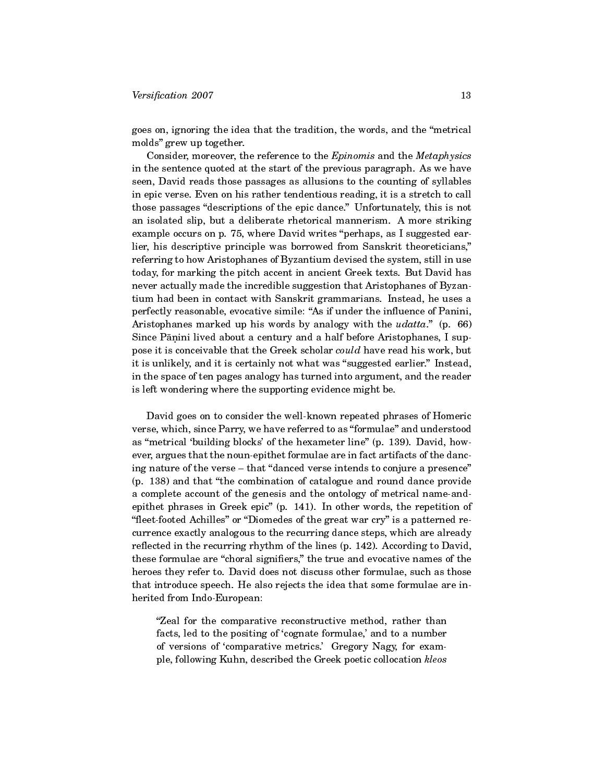goes on, ignoring the idea that the tradition, the words, and the metrical molds" grew up together.

Consider, moreover, the reference to the Epinomis and the Metaphysics in the sentence quoted at the start of the previous paragraph. As we have seen, David reads those passages as allusions to the counting of syllables in epic verse. Even on his rather tendentious reading, it is a stretch to call those passages "descriptions of the epic dance." Unfortunately, this is not an isolated slip, but a deliberate rhetorical mannerism. A more striking example occurs on p. 75, where David writes "perhaps, as I suggested earlier, his descriptive principle was borrowed from Sanskrit theoreticians, referring to how Aristophanes of Byzantium devised the system, still in use today, for marking the pitch accent in ancient Greek texts. But David has never actually made the incredible suggestion that Aristophanes of Byzantium had been in contact with Sanskrit grammarians. Instead, he uses a perfectly reasonable, evocative simile: "As if under the influence of Panini, Aristophanes marked up his words by analogy with the  $udatta$ ." (p. 66) Since Pāṇini lived about a century and a half before Aristophanes, I suppose it is conceivable that the Greek scholar could have read his work, but it is unlikely, and it is certainly not what was "suggested earlier." Instead, in the space of ten pages analogy has turned into argument, and the reader is left wondering where the supporting evidence might be.

David goes on to consider the well-known repeated phrases of Homeric verse, which, since Parry, we have referred to as "formulae" and understood as "metrical 'building blocks' of the hexameter line" (p. 139). David, however, argues that the noun-epithet formulae are in fact artifacts of the dancing nature of the verse – that "danced verse intends to conjure a presence" (p. 138) and that "the combination of catalogue and round dance provide a complete account of the genesis and the ontology of metrical name-andepithet phrases in Greek epic" (p. 141). In other words, the repetition of "fleet-footed Achilles" or "Diomedes of the great war cry" is a patterned recurrence exactly analogous to the recurring dance steps, which are already reflected in the recurring rhythm of the lines  $(p. 142)$ . According to David, these formulae are "choral signifiers," the true and evocative names of the heroes they refer to. David does not discuss other formulae, such as those that introduce speech. He also rejects the idea that some formulae are inherited from Indo-European:

Zeal for the comparative reconstructive method, rather than facts, led to the positing of 'cognate formulae,' and to a number of versions of 'comparative metrics.' Gregory Nagy, for example, following Kuhn, described the Greek poetic collocation kleos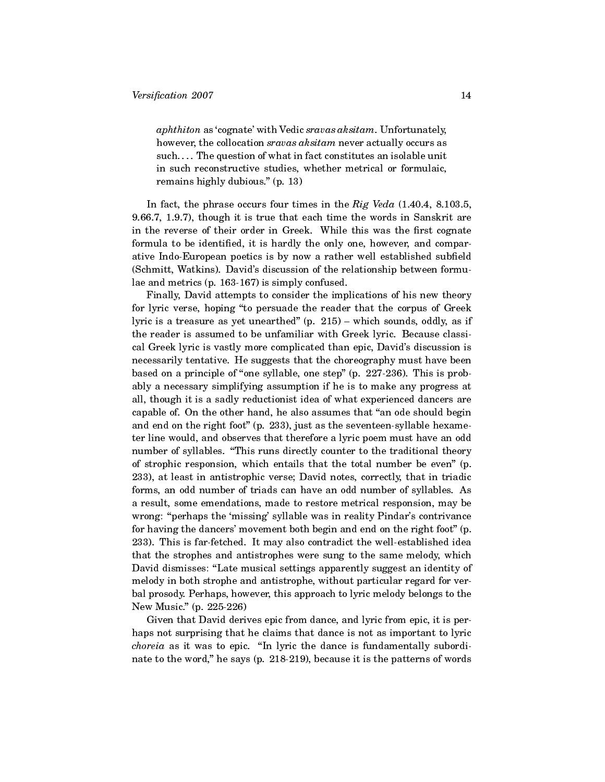aphthiton as 'cognate' with Vedic sravas aksitam. Unfortunately, however, the collocation *sravas aksitam* never actually occurs as  $\text{such} \dots$  . The question of what in fact constitutes an isolable unit in such reconstructive studies, whether metrical or formulaic, remains highly dubious."  $(p. 13)$ 

In fact, the phrase occurs four times in the  $Rig$  Veda (1.40.4, 8.103.5, 9.66.7, 1.9.7), though it is true that each time the words in Sanskrit are in the reverse of their order in Greek. While this was the first cognate formula to be identified, it is hardly the only one, however, and comparative Indo-European poetics is by now a rather well established subfield (Schmitt, Watkins). David's discussion of the relationship between formulae and metrics (p. 163-167) is simply confused.

Finally, David attempts to consider the implications of his new theory for lyric verse, hoping "to persuade the reader that the corpus of Greek lyric is a treasure as yet unearthed"  $(p. 215)$  – which sounds, oddly, as if the reader is assumed to be unfamiliar with Greek lyric. Because classical Greek lyric is vastly more complicated than epic, David's discussion is necessarily tentative. He suggests that the choreography must have been based on a principle of "one syllable, one step" (p. 227-236). This is probably a necessary simplifying assumption if he is to make any progress at all, though it is a sadly reductionist idea of what experienced dancers are capable of. On the other hand, he also assumes that "an ode should begin and end on the right foot" (p. 233), just as the seventeen-syllable hexameter line would, and observes that therefore a lyric poem must have an odd number of syllables. "This runs directly counter to the traditional theory of strophic responsion, which entails that the total number be even" (p. 233), at least in antistrophic verse; David notes, correctly, that in triadic forms, an odd number of triads can have an odd number of syllables. As a result, some emendations, made to restore metrical responsion, may be wrong: "perhaps the 'missing' syllable was in reality Pindar's contrivance for having the dancers' movement both begin and end on the right foot" (p. 233). This is far-fetched. It may also contradict the well-established idea that the strophes and antistrophes were sung to the same melody, which David dismisses: "Late musical settings apparently suggest an identity of melody in both strophe and antistrophe, without particular regard for verbal prosody. Perhaps, however, this approach to lyric melody belongs to the New Music." (p. 225-226)

Given that David derives epic from dance, and lyric from epic, it is perhaps not surprising that he claims that dance is not as important to lyric choreia as it was to epic. "In lyric the dance is fundamentally subordinate to the word," he says (p.  $218-219$ ), because it is the patterns of words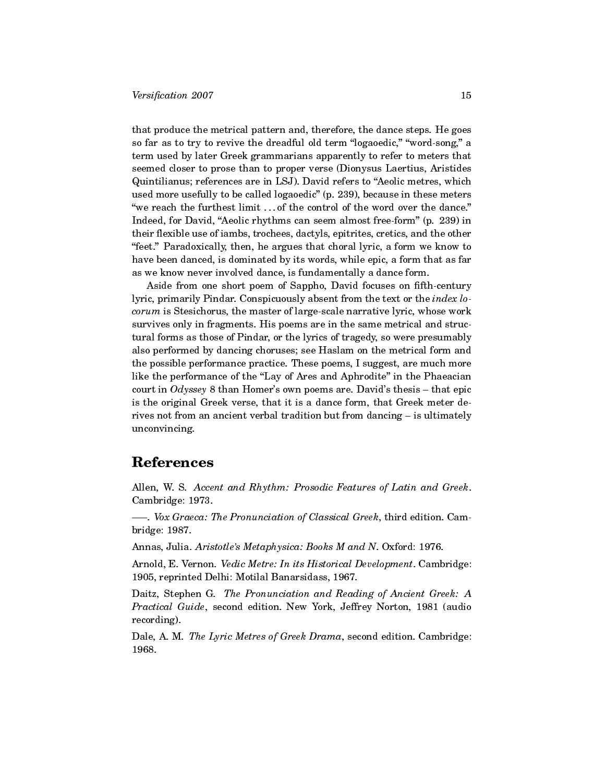that produce the metrical pattern and, therefore, the dance steps. He goes so far as to try to revive the dreadful old term "logaoedic," "word-song," a term used by later Greek grammarians apparently to refer to meters that seemed closer to prose than to proper verse (Dionysus Laertius, Aristides Quintilianus; references are in LSJ). David refers to "Aeolic metres, which used more usefully to be called logaoedic" (p. 239), because in these meters "we reach the furthest limit ... of the control of the word over the dance." Indeed, for David, "Aeolic rhythms can seem almost free-form" (p. 239) in their flexible use of iambs, trochees, dactyls, epitrites, cretics, and the other "feet." Paradoxically, then, he argues that choral lyric, a form we know to have been danced, is dominated by its words, while epic, a form that as far as we know never involved dance, is fundamentally a dance form.

Aside from one short poem of Sappho, David focuses on fifth-century lyric, primarily Pindar. Conspicuously absent from the text or the index locorum is Stesichorus, the master of large-scale narrative lyric, whose work survives only in fragments. His poems are in the same metrical and structural forms as those of Pindar, or the lyrics of tragedy, so were presumably also performed by dancing choruses; see Haslam on the metrical form and the possible performance practice. These poems, I suggest, are much more like the performance of the "Lay of Ares and Aphrodite" in the Phaeacian court in Odyssey 8 than Homer's own poems are. David's thesis  $-$  that epic is the original Greek verse, that it is a dance form, that Greek meter derives not from an ancient verbal tradition but from dancing  $-$  is ultimately unconvincing.

## References

Allen, W. S. Accent and Rhythm: Prosodic Features of Latin and Greek. Cambridge: 1973.

. Vox Graeca: The Pronunciation of Classical Greek, third edition. Cambridge: 1987.

Annas, Julia. Aristotle's Metaphysica: Books M and N. Oxford: 1976.

Arnold, E. Vernon. Vedic Metre: In its Historical Development. Cambridge: 1905, reprinted Delhi: Motilal Banarsidass, 1967.

Daitz, Stephen G. The Pronunciation and Reading of Ancient Greek: A Practical Guide, second edition. New York, Jeffrey Norton, 1981 (audio recording).

Dale, A. M. The Lyric Metres of Greek Drama, second edition. Cambridge: 1968.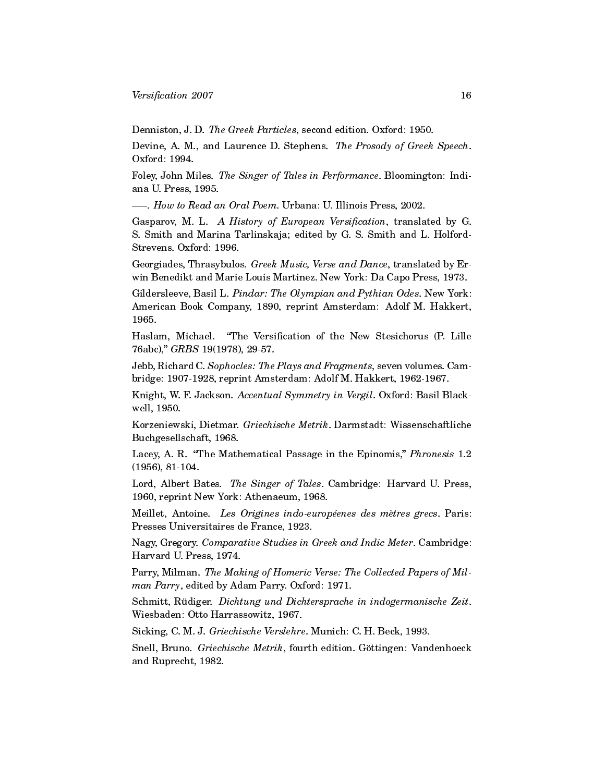Denniston, J. D. The Greek Particles, second edition. Oxford: 1950.

Devine, A. M., and Laurence D. Stephens. The Prosody of Greek Speech. Oxford: 1994.

Foley, John Miles. The Singer of Tales in Performance. Bloomington: Indiana U. Press, 1995.

- How to Read an Oral Poem. Urbana: U. Illinois Press, 2002.

Gasparov, M. L. A History of European Versification, translated by G. S. Smith and Marina Tarlinskaja; edited by G. S. Smith and L. Holford-Strevens. Oxford: 1996.

Georgiades, Thrasybulos. Greek Music, Verse and Dance, translated by Erwin Benedikt and Marie Louis Martinez. New York: Da Capo Press, 1973.

Gildersleeve, Basil L. Pindar: The Olympian and Pythian Odes. New York: American Book Company, 1890, reprint Amsterdam: Adolf M. Hakkert, 1965.

Haslam, Michael. "The Versification of the New Stesichorus (P. Lille 76abc)," GRBS 19(1978), 29-57.

Jebb, Richard C. Sophocles: The Plays and Fragments, seven volumes. Cambridge: 1907-1928, reprint Amsterdam: Adolf M. Hakkert, 1962-1967.

Knight, W. F. Jackson. Accentual Symmetry in Vergil. Oxford: Basil Blackwell, 1950.

Korzeniewski, Dietmar. Griechische Metrik. Darmstadt: Wissenschaftliche Buchgesellschaft, 1968.

Lacey, A. R. "The Mathematical Passage in the Epinomis," Phronesis 1.2 (1956), 81-104.

Lord, Albert Bates. The Singer of Tales. Cambridge: Harvard U. Press, 1960, reprint New York: Athenaeum, 1968.

Meillet, Antoine. Les Origines indo-européenes des mètres grecs. Paris: Presses Universitaires de France, 1923.

Nagy, Gregory. Comparative Studies in Greek and Indic Meter. Cambridge: Harvard U. Press, 1974.

Parry, Milman. The Making of Homeric Verse: The Collected Papers of Milman Parry, edited by Adam Parry. Oxford: 1971.

Schmitt, Rüdiger. Dichtung und Dichtersprache in indogermanische Zeit. Wiesbaden: Otto Harrassowitz, 1967.

Sicking, C. M. J. Griechische Verslehre. Munich: C. H. Beck, 1993.

Snell, Bruno. Griechische Metrik, fourth edition. Göttingen: Vandenhoeck and Ruprecht, 1982.